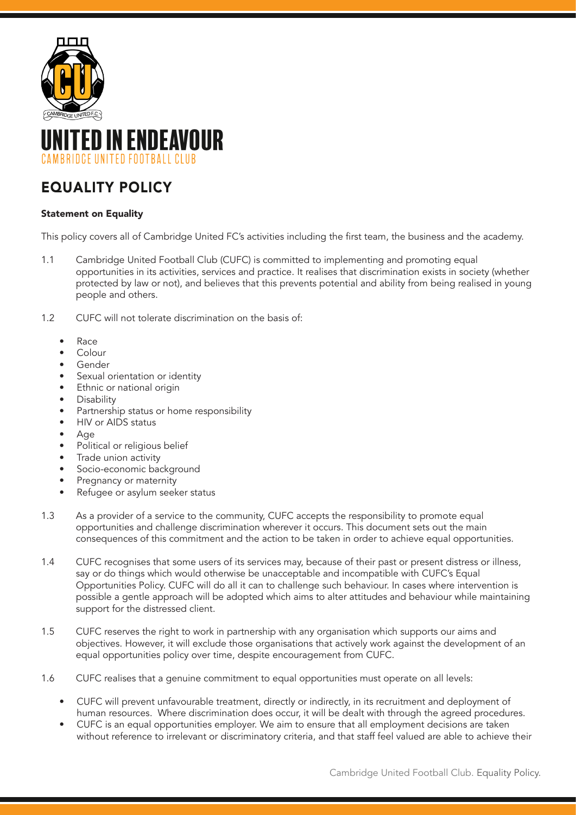



# EQUALITY POLICY

## Statement on Equality

This policy covers all of Cambridge United FC's activities including the first team, the business and the academy.

- 1.1 Cambridge United Football Club (CUFC) is committed to implementing and promoting equal opportunities in its activities, services and practice. It realises that discrimination exists in society (whether protected by law or not), and believes that this prevents potential and ability from being realised in young people and others.
- 1.2 CUFC will not tolerate discrimination on the basis of:
	- Race
	- Colour
	- **Gender**
	- Sexual orientation or identity
	- Ethnic or national origin
	- Disability
	- Partnership status or home responsibility
	- HIV or AIDS status
	- Age
	- Political or religious belief
	- Trade union activity
	- Socio-economic background
	- Pregnancy or maternity
	- Refugee or asylum seeker status
- 1.3 As a provider of a service to the community, CUFC accepts the responsibility to promote equal opportunities and challenge discrimination wherever it occurs. This document sets out the main consequences of this commitment and the action to be taken in order to achieve equal opportunities.
- 1.4 CUFC recognises that some users of its services may, because of their past or present distress or illness, say or do things which would otherwise be unacceptable and incompatible with CUFC's Equal Opportunities Policy. CUFC will do all it can to challenge such behaviour. In cases where intervention is possible a gentle approach will be adopted which aims to alter attitudes and behaviour while maintaining support for the distressed client.
- 1.5 CUFC reserves the right to work in partnership with any organisation which supports our aims and objectives. However, it will exclude those organisations that actively work against the development of an equal opportunities policy over time, despite encouragement from CUFC.
- 1.6 CUFC realises that a genuine commitment to equal opportunities must operate on all levels:
	- CUFC will prevent unfavourable treatment, directly or indirectly, in its recruitment and deployment of human resources. Where discrimination does occur, it will be dealt with through the agreed procedures.
	- CUFC is an equal opportunities employer. We aim to ensure that all employment decisions are taken without reference to irrelevant or discriminatory criteria, and that staff feel valued are able to achieve their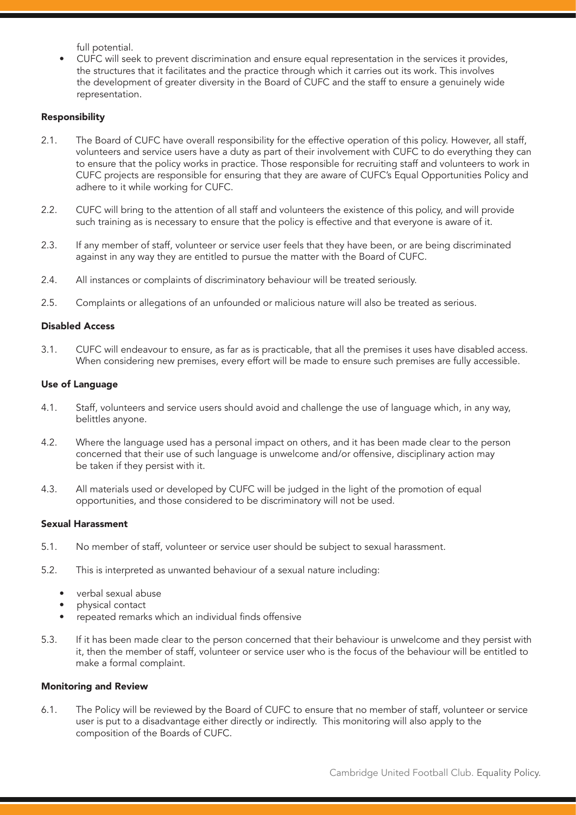full potential.

• CUFC will seek to prevent discrimination and ensure equal representation in the services it provides, the structures that it facilitates and the practice through which it carries out its work. This involves the development of greater diversity in the Board of CUFC and the staff to ensure a genuinely wide representation.

#### Responsibility

- 2.1. The Board of CUFC have overall responsibility for the effective operation of this policy. However, all staff, volunteers and service users have a duty as part of their involvement with CUFC to do everything they can to ensure that the policy works in practice. Those responsible for recruiting staff and volunteers to work in CUFC projects are responsible for ensuring that they are aware of CUFC's Equal Opportunities Policy and adhere to it while working for CUFC.
- 2.2. CUFC will bring to the attention of all staff and volunteers the existence of this policy, and will provide such training as is necessary to ensure that the policy is effective and that everyone is aware of it.
- 2.3. If any member of staff, volunteer or service user feels that they have been, or are being discriminated against in any way they are entitled to pursue the matter with the Board of CUFC.
- 2.4. All instances or complaints of discriminatory behaviour will be treated seriously.
- 2.5. Complaints or allegations of an unfounded or malicious nature will also be treated as serious.

## Disabled Access

3.1. CUFC will endeavour to ensure, as far as is practicable, that all the premises it uses have disabled access. When considering new premises, every effort will be made to ensure such premises are fully accessible.

#### Use of Language

- 4.1. Staff, volunteers and service users should avoid and challenge the use of language which, in any way, belittles anyone.
- 4.2. Where the language used has a personal impact on others, and it has been made clear to the person concerned that their use of such language is unwelcome and/or offensive, disciplinary action may be taken if they persist with it.
- 4.3. All materials used or developed by CUFC will be judged in the light of the promotion of equal opportunities, and those considered to be discriminatory will not be used.

## Sexual Harassment

- 5.1. No member of staff, volunteer or service user should be subject to sexual harassment.
- 5.2. This is interpreted as unwanted behaviour of a sexual nature including:
	- verbal sexual abuse
	- physical contact
	- repeated remarks which an individual finds offensive
- 5.3. If it has been made clear to the person concerned that their behaviour is unwelcome and they persist with it, then the member of staff, volunteer or service user who is the focus of the behaviour will be entitled to make a formal complaint.

#### Monitoring and Review

6.1. The Policy will be reviewed by the Board of CUFC to ensure that no member of staff, volunteer or service user is put to a disadvantage either directly or indirectly. This monitoring will also apply to the composition of the Boards of CUFC.